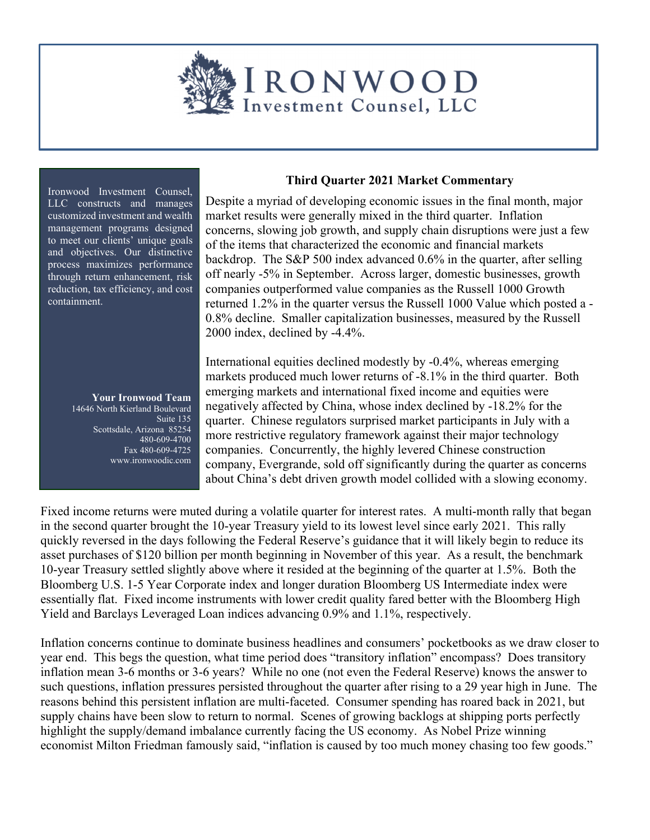

Ironwood Investment Counsel, LLC constructs and manages customized investment and wealth management programs designed to meet our clients' unique goals and objectives. Our distinctive process maximizes performance through return enhancement, risk reduction, tax efficiency, and cost containment.

> **Your Ironwood Team**  14646 North Kierland Boulevard Suite 135 Scottsdale, Arizona 85254 480-609-4700 Fax 480-609-4725 www.ironwoodic.com

## **Third Quarter 2021 Market Commentary**

Despite a myriad of developing economic issues in the final month, major market results were generally mixed in the third quarter. Inflation concerns, slowing job growth, and supply chain disruptions were just a few of the items that characterized the economic and financial markets backdrop. The S&P 500 index advanced 0.6% in the quarter, after selling off nearly -5% in September. Across larger, domestic businesses, growth companies outperformed value companies as the Russell 1000 Growth returned 1.2% in the quarter versus the Russell 1000 Value which posted a - 0.8% decline. Smaller capitalization businesses, measured by the Russell 2000 index, declined by -4.4%.

International equities declined modestly by -0.4%, whereas emerging markets produced much lower returns of -8.1% in the third quarter. Both emerging markets and international fixed income and equities were negatively affected by China, whose index declined by -18.2% for the quarter. Chinese regulators surprised market participants in July with a more restrictive regulatory framework against their major technology companies. Concurrently, the highly levered Chinese construction company, Evergrande, sold off significantly during the quarter as concerns about China's debt driven growth model collided with a slowing economy.

Fixed income returns were muted during a volatile quarter for interest rates. A multi-month rally that began in the second quarter brought the 10-year Treasury yield to its lowest level since early 2021. This rally quickly reversed in the days following the Federal Reserve's guidance that it will likely begin to reduce its asset purchases of \$120 billion per month beginning in November of this year. As a result, the benchmark 10-year Treasury settled slightly above where it resided at the beginning of the quarter at 1.5%. Both the Bloomberg U.S. 1-5 Year Corporate index and longer duration Bloomberg US Intermediate index were essentially flat. Fixed income instruments with lower credit quality fared better with the Bloomberg High Yield and Barclays Leveraged Loan indices advancing 0.9% and 1.1%, respectively.

Inflation concerns continue to dominate business headlines and consumers' pocketbooks as we draw closer to year end. This begs the question, what time period does "transitory inflation" encompass? Does transitory inflation mean 3-6 months or 3-6 years? While no one (not even the Federal Reserve) knows the answer to such questions, inflation pressures persisted throughout the quarter after rising to a 29 year high in June. The reasons behind this persistent inflation are multi-faceted. Consumer spending has roared back in 2021, but supply chains have been slow to return to normal. Scenes of growing backlogs at shipping ports perfectly highlight the supply/demand imbalance currently facing the US economy. As Nobel Prize winning economist Milton Friedman famously said, "inflation is caused by too much money chasing too few goods."